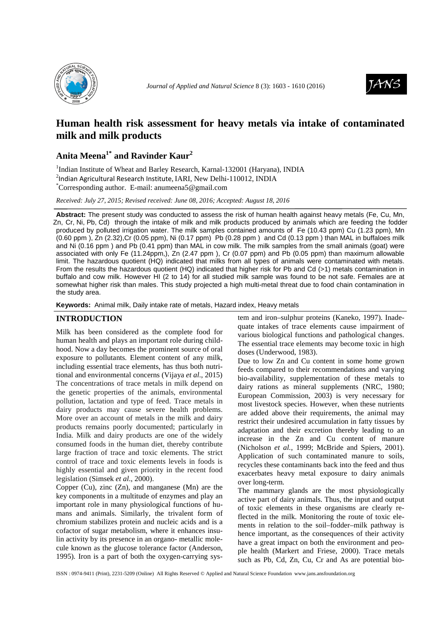



# **Human health risk assessment for heavy metals via intake of contaminated milk and milk products**

# **Anita Meena1\* and Ravinder Kaur<sup>2</sup>**

<sup>1</sup>Indian Institute of Wheat and Barley Research, Karnal-132001 (Haryana), INDIA 2 Indian Agricultural Research Institute, IARI, New Delhi-110012, INDIA

\*Corresponding author. E-mail: anumeena5@gmail.com

*Received: July 27, 2015; Revised received: June 08, 2016; Accepted: August 18, 2016*

**Abstract:** The present study was conducted to assess the risk of human health against heavy metals (Fe, Cu, Mn, Zn, Cr, Ni, Pb, Cd) through the intake of milk and milk products produced by animals which are feeding the fodder produced by polluted irrigation water. The milk samples contained amounts of Fe (10.43 ppm) Cu (1.23 ppm), Mn  $(0.60$  ppm), Zn  $(2.32)$ ,Cr  $(0.05$  ppm), Ni  $(0.17$  ppm) Pb  $(0.28$  ppm) and Cd  $(0.13$  ppm) than MAL in buffaloes milk and Ni (0.16 ppm ) and Pb (0.41 ppm) than MAL in cow milk. The milk samples from the small animals (goat) were associated with only Fe (11.24ppm,), Zn (2.47 ppm ), Cr (0.07 ppm) and Pb (0.05 ppm) than maximum allowable limit. The hazardous quotient (HQ) indicated that milks from all types of animals were contaminated with metals. From the results the hazardous quotient (HQ) indicated that higher risk for Pb and Cd (>1) metals contamination in buffalo and cow milk. However HI (2 to 14) for all studied milk sample was found to be not safe. Females are at somewhat higher risk than males. This study projected a high multi-metal threat due to food chain contamination in the study area.

**Keywords:** Animal milk, Daily intake rate of metals, Hazard index, Heavy metals

## **INTRODUCTION**

Milk has been considered as the complete food for human health and plays an important role during childhood. Now a day becomes the prominent source of oral exposure to pollutants*.* Element content of any milk, including essential trace elements, has thus both nutritional and environmental concerns (Vijaya *et al*., 2015) The concentrations of trace metals in milk depend on the genetic properties of the animals, environmental pollution, lactation and type of feed. Trace metals in dairy products may cause severe health problems. More over an account of metals in the milk and dairy products remains poorly documented; particularly in India. Milk and dairy products are one of the widely consumed foods in the human diet, thereby contribute large fraction of trace and toxic elements. The strict control of trace and toxic elements levels in foods is highly essential and given priority in the recent food legislation (Simsek *et al*., 2000).

Copper (Cu), zinc (Zn), and manganese (Mn) are the key components in a multitude of enzymes and play an important role in many physiological functions of humans and animals. Similarly, the trivalent form of chromium stabilizes protein and nucleic acids and is a cofactor of sugar metabolism, where it enhances insulin activity by its presence in an organo- metallic molecule known as the glucose tolerance factor (Anderson, 1995)*.* Iron is a part of both the oxygen-carrying system and iron–sulphur proteins (Kaneko, 1997). Inadequate intakes of trace elements cause impairment of various biological functions and pathological changes. The essential trace elements may become toxic in high doses (Underwood, 1983).

Due to low Zn and Cu content in some home grown feeds compared to their recommendations and varying bio-availability, supplementation of these metals to dairy rations as mineral supplements (NRC, 1980; European Commission, 2003) is very necessary for most livestock species. However, when these nutrients are added above their requirements, the animal may restrict their undesired accumulation in fatty tissues by adaptation and their excretion thereby leading to an increase in the Zn and Cu content of manure (Nicholson *et al.*, 1999; McBride and Spiers, 2001). Application of such contaminated manure to soils, recycles these contaminants back into the feed and thus exacerbates heavy metal exposure to dairy animals over long-term.

The mammary glands are the most physiologically active part of dairy animals. Thus, the input and output of toxic elements in these organisms are clearly reflected in the milk. Monitoring the route of toxic elements in relation to the soil–fodder–milk pathway is hence important, as the consequences of their activity have a great impact on both the environment and people health (Markert and Friese, 2000). Trace metals such as Pb, Cd, Zn, Cu, Cr and As are potential bio-

ISSN : 0974-9411 (Print), 2231-5209 (Online) All Rights Reserved © Applied and Natural Science Foundation www.jans.ansfoundation.org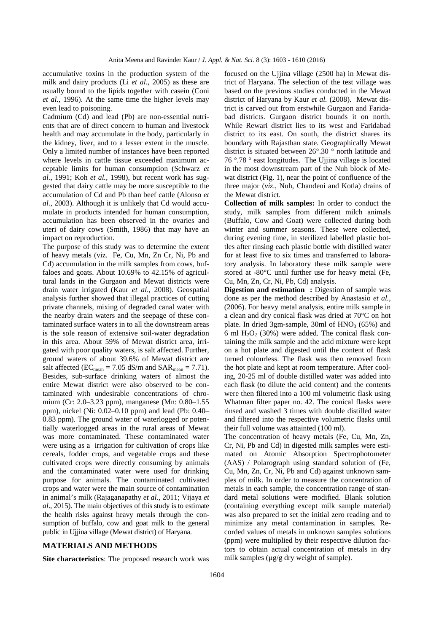accumulative toxins in the production system of the milk and dairy products (Li *et al*., 2005) as these are usually bound to the lipids together with casein (Coni *et al.,* 1996). At the same time the higher levels may even lead to poisoning.

Cadmium (Cd) and lead (Pb) are non-essential nutrients that are of direct concern to human and livestock health and may accumulate in the body, particularly in the kidney, liver, and to a lesser extent in the muscle. Only a limited number of instances have been reported where levels in cattle tissue exceeded maximum acceptable limits for human consumption (Schwarz *et al.*, 1991; Koh *et al.,* 1998), but recent work has suggested that dairy cattle may be more susceptible to the accumulation of Cd and Pb than beef cattle (Alonso *et al.,* 2003). Although it is unlikely that Cd would accumulate in products intended for human consumption, accumulation has been observed in the ovaries and uteri of dairy cows (Smith, 1986) that may have an impact on reproduction.

The purpose of this study was to determine the extent of heavy metals (viz. Fe, Cu, Mn, Zn Cr, Ni, Pb and Cd) accumulation in the milk samples from cows, buffaloes and goats. About 10.69% to 42.15% of agricultural lands in the Gurgaon and Mewat districts were drain water irrigated (Kaur *et al*., 2008). Geospatial analysis further showed that illegal practices of cutting private channels, mixing of degraded canal water with the nearby drain waters and the seepage of these contaminated surface waters in to all the downstream areas is the sole reason of extensive soil-water degradation in this area. About 59% of Mewat district area, irrigated with poor quality waters, is salt affected. Further, ground waters of about 39.6% of Mewat district are salt affected ( $EC_{mean} = 7.05$  dS/m and  $SAR_{mean} = 7.71$ ). Besides, sub-surface drinking waters of almost the entire Mewat district were also observed to be contaminated with undesirable concentrations of chromium (Cr: 2.0–3.23 ppm), manganese (Mn: 0.80–1.55 ppm), nickel (Ni: 0.02–0.10 ppm) and lead (Pb: 0.40– 0.83 ppm). The ground water of waterlogged or potentially waterlogged areas in the rural areas of Mewat was more contaminated. These contaminated water were using as a irrigation for cultivation of crops like cereals, fodder crops, and vegetable crops and these cultivated crops were directly consuming by animals and the contaminated water were used for drinking purpose for animals. The contaminated cultivated crops and water were the main source of contamination in animal's milk (Rajaganapathy *et al.,* 2011; Vijaya *et al*., 2015). The main objectives of this study is to estimate the health risks against heavy metals through the consumption of buffalo, cow and goat milk to the general public in Ujjina village (Mewat district) of Haryana.

### **MATERIALS AND METHODS**

**Site characteristics**: The proposed research work was

focused on the Ujjina village (2500 ha) in Mewat district of Haryana. The selection of the test village was based on the previous studies conducted in the Mewat district of Haryana by Kaur *et al.* (2008). Mewat district is carved out from erstwhile Gurgaon and Faridabad districts. Gurgaon district bounds it on north. While Rewari district lies to its west and Faridabad district to its east. On south, the district shares its boundary with Rajasthan state. Geographically Mewat district is situated between 26°.30 ° north latitude and 76 °.78 ° east longitudes. The Ujjina village is located in the most downstream part of the Nuh block of Mewat district (Fig. 1), near the point of confluence of the three major (*viz*., Nuh, Chandeni and Kotla) drains of the Mewat district.

**Collection of milk samples:** In order to conduct the study, milk samples from different milch animals (Buffalo, Cow and Goat) were collected during both winter and summer seasons. These were collected, during evening time, in sterilized labelled plastic bottles after rinsing each plastic bottle with distilled water for at least five to six times and transferred to laboratory analysis. In laboratory these milk sample were stored at -80°C until further use for heavy metal (Fe, Cu, Mn, Zn, Cr, Ni, Pb, Cd) analysis.

**Digestion and estimation : Digestion of sample was** done as per the method described by Anastasio *et al.,*  (2006). For heavy metal analysis, entire milk sample in a clean and dry conical flask was dried at 70°C on hot plate. In dried 3gm-sample, 30ml of  $HNO<sub>3</sub>$  (65%) and 6 ml  $H_2O_2$  (30%) were added. The conical flask containing the milk sample and the acid mixture were kept on a hot plate and digested until the content of flask turned colourless. The flask was then removed from the hot plate and kept at room temperature. After cooling, 20-25 ml of double distilled water was added into each flask (to dilute the acid content) and the contents were then filtered into a 100 ml volumetric flask using Whatman filter paper no. 42. The conical flasks were rinsed and washed 3 times with double distilled water and filtered into the respective volumetric flasks until their full volume was attainted (100 ml).

The concentration of heavy metals (Fe, Cu, Mn, Zn, Cr, Ni, Pb and Cd) in digested milk samples were estimated on Atomic Absorption Spectrophotometer (AAS) / Polarograph using standard solution of (Fe, Cu, Mn, Zn, Cr, Ni, Pb and Cd) against unknown samples of milk. In order to measure the concentration of metals in each sample, the concentration range of standard metal solutions were modified. Blank solution (containing everything except milk sample material) was also prepared to set the initial zero reading and to minimize any metal contamination in samples. Recorded values of metals in unknown samples solutions (ppm) were multiplied by their respective dilution factors to obtain actual concentration of metals in dry milk samples ( $\mu$ g/g dry weight of sample).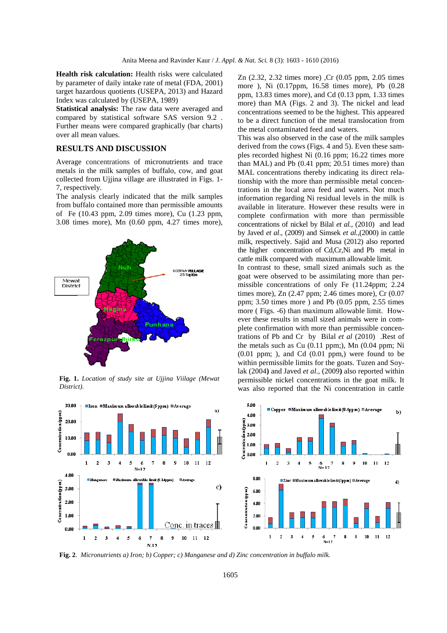**Health risk calculation:** Health risks were calculated by parameter of daily intake rate of metal (FDA, 2001) target hazardous quotients (USEPA, 2013) and Hazard Index was calculated by (USEPA, 1989)

**Statistical analysis:** The raw data were averaged and compared by statistical software SAS version 9.2 . Further means were compared graphically (bar charts) over all mean values.

### **RESULTS AND DISCUSSION**

Average concentrations of micronutrients and trace metals in the milk samples of buffalo, cow, and goat collected from Ujjina village are illustrated in Figs. 1- 7, respectively.

The analysis clearly indicated that the milk samples from buffalo contained more than permissible amounts of Fe (10.43 ppm, 2.09 times more), Cu (1.23 ppm, 3.08 times more), Mn (0.60 ppm, 4.27 times more),



**Fig. 1.** *Location of study site at Ujjina Viilage (Mewat District).* 



Zn (2.32, 2.32 times more) ,Cr (0.05 ppm, 2.05 times more ), Ni (0.17ppm, 16.58 times more), Pb (0.28 ppm, 13.83 times more), and Cd (0.13 ppm, 1.33 times more) than MA (Figs. 2 and 3). The nickel and lead concentrations seemed to be the highest. This appeared to be a direct function of the metal translocation from the metal contaminated feed and waters.

This was also observed in the case of the milk samples derived from the cows (Figs. 4 and 5). Even these samples recorded highest Ni (0.16 ppm; 16.22 times more than MAL) and Pb (0.41 ppm; 20.51 times more) than MAL concentrations thereby indicating its direct relationship with the more than permissible metal concentrations in the local area feed and waters. Not much information regarding Ni residual levels in the milk is available in literature. However these results were in complete confirmation with more than permissible concentrations of nickel by Bilal *et al.,* (2010) and lead by Javed *et al*., (2009) and Simsek *et al.,*(2000) in cattle milk, respectively. Sajid and Musa (2012) also reported the higher concentration of Cd,Cr,Ni and Pb metal in cattle milk compared with maximum allowable limit.

In contrast to these, small sized animals such as the goat were observed to be assimilating more than permissible concentrations of only Fe (11.24ppm; 2.24) times more), Zn (2.47 ppm; 2.46 times more), Cr (0.07 ppm;  $3.50$  times more) and Pb  $(0.05$  ppm,  $2.55$  times more ( Figs. -6) than maximum allowable limit. However these results in small sized animals were in complete confirmation with more than permissible concentrations of Pb and Cr by Bilal *et al* (2010) .Rest of the metals such as Cu (0.11 ppm;), Mn (0.04 ppm; Ni  $(0.01$  ppm; ), and Cd  $(0.01$  ppm,) were found to be within permissible limits for the goats. Tuzen and Soylak (2004**)** and Javed *et al*., (2009**)** also reported within permissible nickel concentrations in the goat milk. It was also reported that the Ni concentration in cattle



**Fig. 2***. Micronutrients a) Iron; b) Copper; c) Manganese and d) Zinc concentration in buffalo milk.*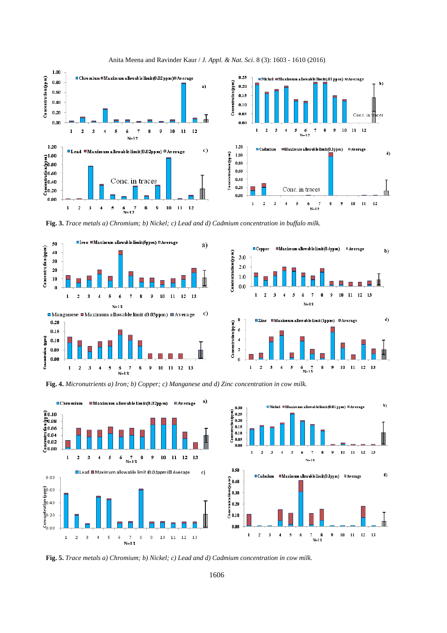

Anita Meena and Ravinder Kaur / *J. Appl. & Nat. Sci.* 8 (3): 1603 - 1610 (2016)

**Fig. 3.** *Trace metals a) Chromium; b) Nickel; c) Lead and d) Cadmium concentration in buffalo milk.* 







**Fig. 4.** *Micronutrients a) Iron; b) Copper; c) Manganese and d) Zinc concentration in cow milk.* 





**Fig. 5.** *Trace metals a) Chromium; b) Nickel; c) Lead and d) Cadmium concentration in cow milk.*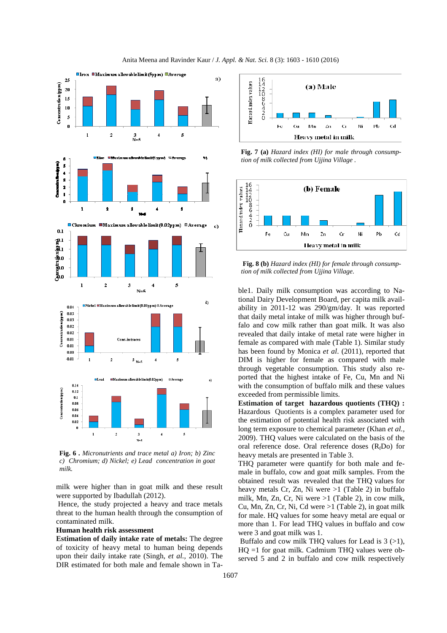

**Fig. 6 .** *Micronutrients and trace metal a) Iron; b) Zinc c) Chromium; d) Nickel; e) Lead concentration in goat milk.* 

 $N = 5$ 

milk were higher than in goat milk and these result were supported by Ibadullah (2012).

 Hence, the study projected a heavy and trace metals threat to the human health through the consumption of contaminated milk.

## **Human health risk assessment**

**Estimation of daily intake rate of metals:** The degree of toxicity of heavy metal to human being depends upon their daily intake rate (Singh, *et al.,* 2010). The DIR estimated for both male and female shown in Ta-



**Fig. 7 (a)** *Hazard index (HI) for male through consumption of milk collected from Ujjina Village .* 



 **Fig. 8 (b)** *Hazard index (HI) for female through consumption of milk collected from Ujjina Village.* 

ble1. Daily milk consumption was according to National Dairy Development Board, per capita milk availability in 2011-12 was 290/gm/day. It was reported that daily metal intake of milk was higher through buffalo and cow milk rather than goat milk. It was also revealed that daily intake of metal rate were higher in female as compared with male (Table 1). Similar study has been found by Monica *et al*. (2011), reported that DIM is higher for female as compared with male through vegetable consumption. This study also reported that the highest intake of Fe, Cu, Mn and Ni with the consumption of buffalo milk and these values exceeded from permissible limits.

**Estimation of target hazardous quotients (THQ) :**  Hazardous Quotients is a complex parameter used for the estimation of potential health risk associated with long term exposure to chemical parameter (Khan *et al.,* 2009). THQ values were calculated on the basis of the oral reference dose. Oral reference doses  $(R_fDo)$  for heavy metals are presented in Table 3.

THQ parameter were quantify for both male and female in buffalo, cow and goat milk samples. From the obtained result was revealed that the THQ values for heavy metals Cr, Zn, Ni were >1 (Table 2) in buffalo milk, Mn, Zn, Cr, Ni were  $>1$  (Table 2), in cow milk, Cu, Mn, Zn, Cr, Ni, Cd were  $>1$  (Table 2), in goat milk for male. HQ values for some heavy metal are equal or more than 1. For lead THQ values in buffalo and cow were 3 and goat milk was 1.

Buffalo and cow milk THQ values for Lead is  $3$  ( $>1$ ),  $HO =1$  for goat milk. Cadmium THO values were observed 5 and 2 in buffalo and cow milk respectively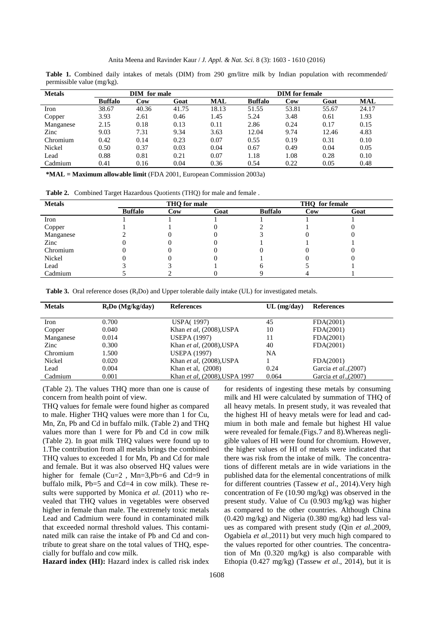Table 1. Combined daily intakes of metals (DIM) from 290 gm/litre milk by Indian population with recommended/ permissible value (mg/kg).

| <b>Metals</b> | DIM for male   |       |       |       | <b>DIM</b> for female |       |       |       |
|---------------|----------------|-------|-------|-------|-----------------------|-------|-------|-------|
|               | <b>Buffalo</b> | Cow   | Goat  | MAL   | <b>Buffalo</b>        | Cow   | Goat  | MAL   |
| Iron          | 38.67          | 40.36 | 41.75 | 18.13 | 51.55                 | 53.81 | 55.67 | 24.17 |
| Copper        | 3.93           | 2.61  | 0.46  | 1.45  | 5.24                  | 3.48  | 0.61  | 1.93  |
| Manganese     | 2.15           | 0.18  | 0.13  | 0.11  | 2.86                  | 0.24  | 0.17  | 0.15  |
| Zinc          | 9.03           | 7.31  | 9.34  | 3.63  | 12.04                 | 9.74  | 12.46 | 4.83  |
| Chromium      | 0.42           | 0.14  | 0.23  | 0.07  | 0.55                  | 0.19  | 0.31  | 0.10  |
| Nickel        | 0.50           | 0.37  | 0.03  | 0.04  | 0.67                  | 0.49  | 0.04  | 0.05  |
| Lead          | 0.88           | 0.81  | 0.21  | 0.07  | 1.18                  | 1.08  | 0.28  | 0.10  |
| Cadmium       | 0.41           | 0.16  | 0.04  | 0.36  | 0.54                  | 0.22  | 0.05  | 0.48  |

**\*MAL = Maximum allowable limit** (FDA 2001, European Commission 2003a)

**Table 2.** Combined Target Hazardous Quotients (THQ) for male and female .

| <b>Metals</b> | THQ for male   |     |      | <b>THO</b> for female |     |      |
|---------------|----------------|-----|------|-----------------------|-----|------|
|               | <b>Buffalo</b> | Cow | Goat | <b>Buffalo</b>        | Cow | Goat |
| Iron          |                |     |      |                       |     |      |
| Copper        |                |     |      |                       |     |      |
| Manganese     |                |     |      |                       |     |      |
| Zinc          |                |     |      |                       |     |      |
| Chromium      |                |     |      |                       |     |      |
| Nickel        |                |     |      |                       |     |      |
| Lead          |                |     |      |                       |     |      |
| Cadmium       |                |     |      |                       |     |      |

**Table 3.** Oral reference doses (R<sub>f</sub>Do) and Upper tolerable daily intake (UL) for investigated metals.

| <b>Metals</b> | $R_fDo$ (Mg/kg/day) | <b>References</b>             | $UL$ (mg/day) | References            |  |
|---------------|---------------------|-------------------------------|---------------|-----------------------|--|
|               |                     |                               |               |                       |  |
| Iron          | 0.700               | <b>USPA(1997)</b>             | 45            | FDA(2001)             |  |
| Copper        | 0.040               | Khan et al. $(2008)$ , USPA   | 10            | FDA(2001)             |  |
| Manganese     | 0.014               | <b>USEPA (1997)</b>           | 11            | FDA(2001)             |  |
| Zinc          | 0.300               | Khan et al. $(2008)$ , USPA   | 40            | FDA(2001)             |  |
| Chromium      | 1.500               | <b>USEPA (1997)</b>           | NA            |                       |  |
| Nickel        | 0.020               | Khan et al. $(2008)$ , USPA   |               | FDA(2001)             |  |
| Lead          | 0.004               | Khan et al. (2008)            | 0.24          | Garcia et al., (2007) |  |
| Cadmium       | 0.001               | Khan et al, (2008), USPA 1997 | 0.064         | Garcia et al., (2007) |  |

(Table 2). The values THQ more than one is cause of concern from health point of view.

THQ values for female were found higher as compared to male. Higher THQ values were more than 1 for Cu, Mn, Zn, Pb and Cd in buffalo milk. (Table 2) and THQ values more than 1 were for Pb and Cd in cow milk (Table 2). In goat milk THQ values were found up to 1.The contribution from all metals brings the combined THQ values to exceeded 1 for Mn, Pb and Cd for male and female. But it was also observed HQ values were higher for female (Cu=2, Mn=3,Pb=6 and Cd=9 in buffalo milk, Pb=5 and Cd=4 in cow milk). These results were supported by Monica *et al*. (2011) who revealed that THQ values in vegetables were observed higher in female than male. The extremely toxic metals Lead and Cadmium were found in contaminated milk that exceeded normal threshold values. This contaminated milk can raise the intake of Pb and Cd and contribute to great share on the total values of THQ, especially for buffalo and cow milk.

Hazard index (HI): Hazard index is called risk index

for residents of ingesting these metals by consuming milk and HI were calculated by summation of THQ of all heavy metals. In present study, it was revealed that the highest HI of heavy metals were for lead and cadmium in both male and female but highest HI value were revealed for female.(Figs.7 and 8).Whereas negligible values of HI were found for chromium. However, the higher values of HI of metals were indicated that there was risk from the intake of milk. The concentrations of different metals are in wide variations in the published data for the elemental concentrations of milk for different countries (Tassew *et al*., 2014).Very high concentration of Fe (10.90 mg/kg) was observed in the present study. Value of Cu (0.903 mg/kg) was higher as compared to the other countries. Although China (0.420 mg/kg) and Nigeria (0.380 mg/kg) had less values as compared with present study (Qin *et al.,*2009, Ogabiela *et al.*,2011) but very much high compared to the values reported for other countries. The concentration of Mn (0.320 mg/kg) is also comparable with Ethopia (0.427 mg/kg) (Tassew *et al*., 2014), but it is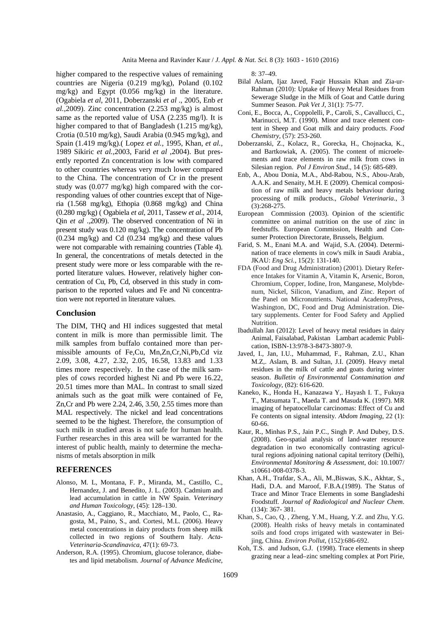higher compared to the respective values of remaining countries are Nigeria (0.219 mg/kg), Poland (0.102 mg/kg) and Egypt (0.056 mg/kg) in the literature. (Ogabiela *et al*, 2011, Doberzanski *et al* ., 2005, Enb *et al.,*2009). Zinc concentration (2.253 mg/kg) is almost same as the reported value of USA (2.235 mg/l). It is higher compared to that of Bangladesh (1.215 mg/kg), Crotia (0.510 mg/kg), Saudi Arabia (0.945 mg/kg), and Spain (1.419 mg/kg).( Lopez *et al.,* 1995, Khan, *et al.,* 1989 Sikiric *et al.,*2003, Farid *et al* ,2004). But presently reported Zn concentration is low with compared to other countries whereas very much lower compared to the China. The concentration of Cr in the present study was (0.077 mg/kg) high compared with the corresponding values of other countries except that of Nigeria (1.568 mg/kg), Ethopia (0.868 mg/kg) and China (0.280 mg/kg) ( Ogabiela *et al*, 2011, Tassew *et al*., 2014, Qin *et al .,*2009). The observed concentration of Ni in present study was 0.120 mg/kg). The concentration of Pb  $(0.234 \text{ mg/kg})$  and Cd  $(0.234 \text{ mg/kg})$  and these values were not comparable with remaining countries (Table 4). In general, the concentrations of metals detected in the present study were more or less comparable with the reported literature values. However, relatively higher concentration of Cu, Pb, Cd, observed in this study in comparison to the reported values and Fe and Ni concentration were not reported in literature values.

#### **Conclusion**

The DIM, THQ and HI indices suggested that metal content in milk is more than permissible limit. The milk samples from buffalo contained more than permissible amounts of Fe,Cu, Mn,Zn,Cr,Ni,Pb,Cd viz 2.09, 3.08, 4.27, 2.32, 2.05, 16.58, 13.83 and 1.33 times more respectively. In the case of the milk samples of cows recorded highest Ni and Pb were 16.22, 20.51 times more than MAL. In contrast to small sized animals such as the goat milk were contained of Fe, Zn,Cr and Pb were 2.24, 2.46, 3.50, 2.55 times more than MAL respectively. The nickel and lead concentrations seemed to be the highest. Therefore, the consumption of such milk in studied areas is not safe for human health. Further researches in this area will be warranted for the interest of public health, mainly to determine the mechanisms of metals absorption in milk

#### **REFERENCES**

- Alonso, M. L, Montana, F. P., Miranda, M., Castillo, C., Hernandez, J. and Benedito, J. L. (2003). Cadmium and lead accumulation in cattle in NW Spain. *Veterinary and Human Toxicology*, (45): 128–130.
- Anastasio, A., Caggiano, R., Macchiato, M., Paolo, C., Ragosta, M., Paino, S., and. Cortesi, M.L. (2006). Heavy metal concentrations in dairy products from sheep milk collected in two regions of Southern Italy. *Acta-Veterinaria-Scandinavica,* 47(1): 69-73.
- Anderson, R.A. (1995). Chromium, glucose tolerance, diabetes and lipid metabolism. *Journal of Advance Medicine,*

8: 37–49.

- Bilal Aslam, Ijaz Javed, Faqir Hussain Khan and Zia-ur-Rahman (2010): Uptake of Heavy Metal Residues from Sewerage Sludge in the Milk of Goat and Cattle during Summer Season. *Pak Vet J*, 31(1): 75-77.
- Coni, E., Bocca, A., Coppolelli, P., Caroli, S., Cavallucci, C., Marinucci, M.T. (1990). Minor and trace element content in Sheep and Goat milk and dairy products. *Food Chemistry,* (57): 253-260.
- Doberzanski, Z., Kolacz, R., Gorecka, H., Chojnacka, K., and Bartkowiak, A. (2005). The content of microelements and trace elements in raw milk from cows in Silesian region. *Pol J Environ Stud*., 14 (5): 685-689.
- Enb, A., Abou Donia, M.A., Abd-Rabou, N.S., Abou-Arab, A.A.K. and Senaity, M.H. E (2009). Chemical composition of raw milk and heavy metals behaviour during processing of milk products., *Global Veterinaria*., 3 (3):268-275.
- European Commission (2003). Opinion of the scientific committee on animal nutrition on the use of zinc in feedstuffs. European Commission, Health and Consumer Protection Directorate, Brussels, Belgium.
- Farid, S. M., Enani M.A. and Wajid, S.A. (2004). Determination of trace elements in cow's milk in Saudi Arabia., JKAU: *Eng Sci.,* 15(2): 131-140.
- FDA (Food and Drug Administration) (2001). Dietary Reference Intakes for Vitamin A, Vitamin K, Arsenic, Boron, Chromium, Copper, Iodine, Iron, Manganese, Molybdenum, Nickel, Silicon, Vanadium, and Zinc. Report of the Panel on Micronutrients. National AcademyPress, Washington, DC, Food and Drug Administration. Dietary supplements. Center for Food Safety and Applied Nutrition.
- Ibadullah Jan (2012): Level of heavy metal residues in dairy Animal, Faisalabad, Pakistan Lambart academic Publication, ISBN-13:978-3-8473-3807-9.
- Javed, I., Jan, I.U., Muhammad, F., Rahman, Z.U., Khan M.Z,. Aslam, B. and Sultan, J.I. (2009). Heavy metal residues in the milk of cattle and goats during winter season. *Bulletin of Environmental Contamination and Toxicology,* (82): 616-620.
- Kaneko, K., Honda H., Kanazawa Y,. Hayash I. T., Fukuya T., Matsumata T., Maeda T. and Masuda K. (1997). MR imaging of hepatocellular carcinomas: Effect of Cu and Fe contents on signal intensity*. Abdom Imaging,* 22 (1): 60-66.
- Kaur, R., Minhas P.S., Jain P.C., Singh P. And Dubey, D.S. (2008). Geo-spatial analysis of land-water resource degradation in two economically contrasting agricultural regions adjoining national capital territory (Delhi), *Environmental Monitoring & Assessment*, doi: 10.1007/ s10661-008-0378-3.
- Khan, A.H., Trafdar, S.A., Ali, M.,Biswas, S.K., Akhtar, S., Hadi, D.A. and Maroof, F.B.A.(1989). The Status of Trace and Minor Trace Elements in some Bangladeshi Foodstuff*. Journal of Radiological and Nuclear Chem*. (134): 367- 381.
- Khan, S., Cao, Q. , Zheng, Y.M., Huang, Y.Z. and Zhu, Y.G. (2008). Health risks of heavy metals in contaminated soils and food crops irrigated with wastewater in Beijing, China. *Environ Pollut*, (152):686-692.
- Koh, T.S. and Judson, G.J. (1998). Trace elements in sheep grazing near a lead–zinc smelting complex at Port Pirie,